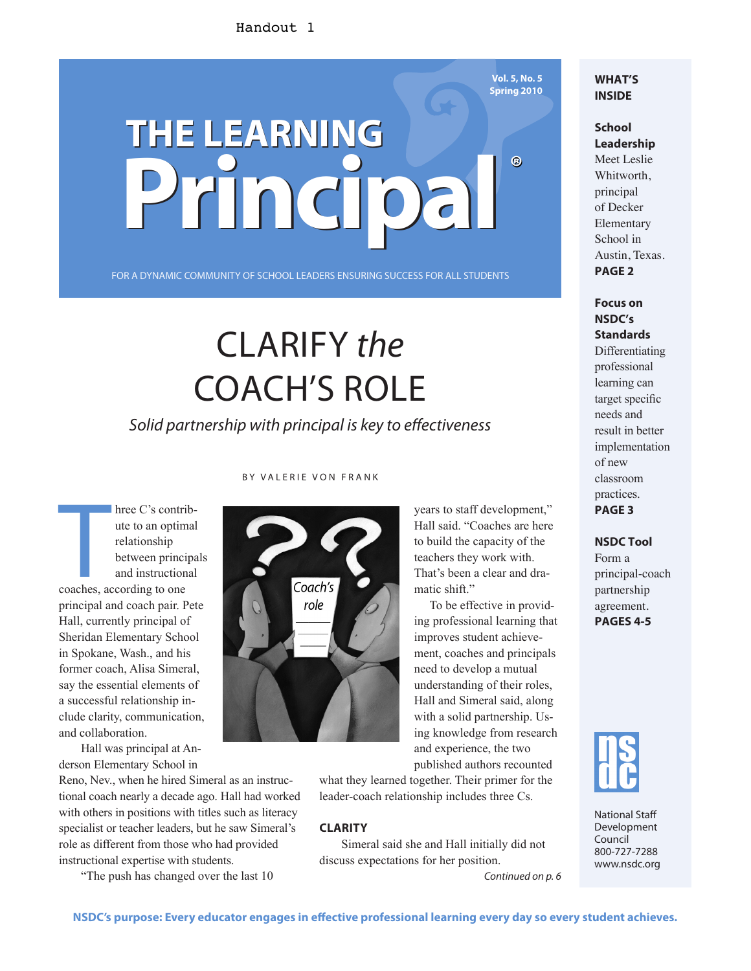#### Handout 1

# **THE LEARNING THE LEARNING Principal Principal ®**

FOR A DYNAMIC COMMUNITY OF SCHOOL LEADERS ENSURING SUCCESS FOR ALL STUDENTS

## CLARIFY the COACH'S ROLE

Solid partnership with principal is key to effectiveness

hree C's contriute<br>
ute to an optim<br>
relationship<br>
between princius<br>
and instruction<br>
coaches, according to one hree C's contribute to an optimal relationship between principals and instructional principal and coach pair. Pete Hall, currently principal of Sheridan Elementary School in Spokane, Wash., and his former coach, Alisa Simeral, say the essential elements of a successful relationship include clarity, communication, and collaboration.

Hall was principal at Anderson Elementary School in

Reno, Nev., when he hired Simeral as an instructional coach nearly a decade ago. Hall had worked with others in positions with titles such as literacy specialist or teacher leaders, but he saw Simeral's role as different from those who had provided instructional expertise with students.

"The push has changed over the last 10

#### BY VALERIE VON FRANK



years to staff development," Hall said. "Coaches are here to build the capacity of the teachers they work with. That's been a clear and dramatic shift."

To be effective in providing professional learning that improves student achievement, coaches and principals need to develop a mutual understanding of their roles, Hall and Simeral said, along with a solid partnership. Using knowledge from research and experience, the two published authors recounted

what they learned together. Their primer for the leader-coach relationship includes three Cs.

#### **CLARITY**

Simeral said she and Hall initially did not discuss expectations for her position.

Continued on p. 6

#### **WHAT'S INSIDE**

**Vol. 5, No. 5 Spring 2010**

> **School Leadership** Meet Leslie Whitworth, principal of Decker Elementary School in

Austin, Texas. **PAGE 2**

**Focus on NSDC's Standards**

Differentiating professional learning can target specific needs and result in better implementation of new classroom practices. **PAGE 3**

#### **NSDC Tool**

Form a principal-coach partnership agreement. **PAGES 4-5**



National Staff Development Council 800-727-7288 www.nsdc.org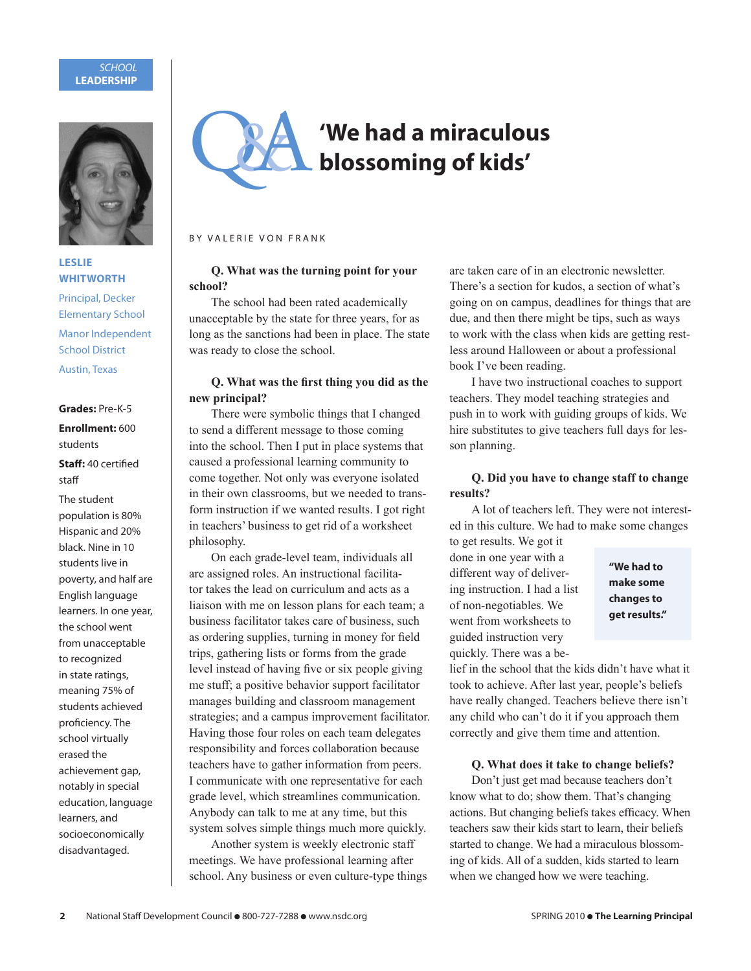#### **SCHOOL LEADERSHIP**



#### **LESLIE WHITWORTH**

Principal, Decker Elementary School Manor Independent School District Austin, Texas

**Grades:** Pre-K-5

#### **Enrollment:** 600 students

#### **Staff:** 40 certified staff

The student population is 80% Hispanic and 20% black. Nine in 10 students live in poverty, and half are English language learners. In one year, the school went from unacceptable to recognized in state ratings, meaning 75% of students achieved proficiency. The school virtually erased the achievement gap, notably in special education, language learners, and socioeconomically disadvantaged.



#### BY VALERIE VON FRANK

#### **Q. What was the turning point for your school?**

The school had been rated academically unacceptable by the state for three years, for as long as the sanctions had been in place. The state was ready to close the school.

#### **Q.** What was the first thing you did as the **new principal?**

There were symbolic things that I changed to send a different message to those coming into the school. Then I put in place systems that caused a professional learning community to come together. Not only was everyone isolated in their own classrooms, but we needed to transform instruction if we wanted results. I got right in teachers' business to get rid of a worksheet philosophy.

On each grade-level team, individuals all are assigned roles. An instructional facilitator takes the lead on curriculum and acts as a liaison with me on lesson plans for each team; a business facilitator takes care of business, such as ordering supplies, turning in money for field trips, gathering lists or forms from the grade level instead of having five or six people giving me stuff; a positive behavior support facilitator manages building and classroom management strategies; and a campus improvement facilitator. Having those four roles on each team delegates responsibility and forces collaboration because teachers have to gather information from peers. I communicate with one representative for each grade level, which streamlines communication. Anybody can talk to me at any time, but this system solves simple things much more quickly.

Another system is weekly electronic staff meetings. We have professional learning after school. Any business or even culture-type things

are taken care of in an electronic newsletter. There's a section for kudos, a section of what's going on on campus, deadlines for things that are due, and then there might be tips, such as ways to work with the class when kids are getting restless around Halloween or about a professional book I've been reading.

I have two instructional coaches to support teachers. They model teaching strategies and push in to work with guiding groups of kids. We hire substitutes to give teachers full days for lesson planning.

#### **Q. Did you have to change staff to change results?**

A lot of teachers left. They were not interested in this culture. We had to make some changes to get results. We got it

done in one year with a different way of delivering instruction. I had a list of non-negotiables. We went from worksheets to guided instruction very quickly. There was a be-

**"We had to make some changes to get results."**

lief in the school that the kids didn't have what it took to achieve. After last year, people's beliefs have really changed. Teachers believe there isn't any child who can't do it if you approach them correctly and give them time and attention.

#### **Q. What does it take to change beliefs?**

Don't just get mad because teachers don't know what to do; show them. That's changing actions. But changing beliefs takes efficacy. When teachers saw their kids start to learn, their beliefs started to change. We had a miraculous blossoming of kids. All of a sudden, kids started to learn when we changed how we were teaching.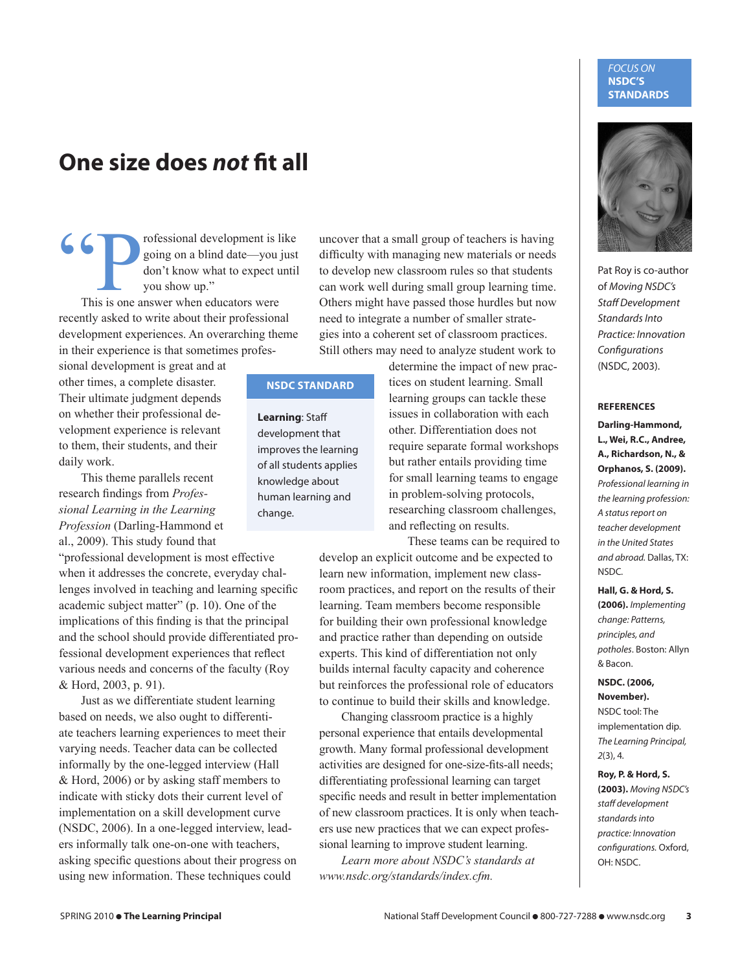## **One size does not fit all**

GO Professional development is like<br>
going on a blind date—you just<br>
don't know what to expect until<br>
you show up."<br>
This is one answer when educators were going on a blind date—you just don't know what to expect until you show up."

recently asked to write about their professional development experiences. An overarching theme in their experience is that sometimes profes-

sional development is great and at other times, a complete disaster. Their ultimate judgment depends on whether their professional development experience is relevant to them, their students, and their daily work.

This theme parallels recent research findings from Profes*sional Learning in the Learning Profession* (Darling-Hammond et al., 2009). This study found that

"professional development is most effective when it addresses the concrete, everyday challenges involved in teaching and learning specific academic subject matter" (p. 10). One of the implications of this finding is that the principal and the school should provide differentiated professional development experiences that reflect various needs and concerns of the faculty (Roy & Hord, 2003, p. 91).

Just as we differentiate student learning based on needs, we also ought to differentiate teachers learning experiences to meet their varying needs. Teacher data can be collected informally by the one-legged interview (Hall & Hord, 2006) or by asking staff members to indicate with sticky dots their current level of implementation on a skill development curve (NSDC, 2006). In a one-legged interview, leaders informally talk one-on-one with teachers, asking specific questions about their progress on using new information. These techniques could

uncover that a small group of teachers is having difficulty with managing new materials or needs to develop new classroom rules so that students can work well during small group learning time. Others might have passed those hurdles but now need to integrate a number of smaller strategies into a coherent set of classroom practices. Still others may need to analyze student work to

#### **NSDC STANDARD**

**Learning**: Staff development that improves the learning of all students applies knowledge about human learning and change.

determine the impact of new practices on student learning. Small learning groups can tackle these issues in collaboration with each other. Differentiation does not require separate formal workshops but rather entails providing time for small learning teams to engage in problem-solving protocols, researching classroom challenges, and reflecting on results.

These teams can be required to develop an explicit outcome and be expected to learn new information, implement new classroom practices, and report on the results of their learning. Team members become responsible for building their own professional knowledge and practice rather than depending on outside experts. This kind of differentiation not only builds internal faculty capacity and coherence but reinforces the professional role of educators to continue to build their skills and knowledge.

Changing classroom practice is a highly personal experience that entails developmental growth. Many formal professional development activities are designed for one-size-fits-all needs; differentiating professional learning can target specific needs and result in better implementation of new classroom practices. It is only when teachers use new practices that we can expect professional learning to improve student learning.

*Learn more about NSDC's standards at www.nsdc.org/standards/index.cfm.*

#### FOCUS ON **NSDC'S STANDARDS**



Pat Roy is co-author of Moving NSDC's Staff Development Standards Into Practice: Innovation **Configurations** (NSDC, 2003).

#### **REFERENCES**

**Darling-Hammond, L., Wei, R.C., Andree, A., Richardson, N., & Orphanos, S. (2009).** Professional learning in the learning profession: A status report on teacher development in the United States and abroad. Dallas, TX: NSDC.

**Hall, G. & Hord, S.** 

**(2006).** Implementing change: Patterns, principles, and potholes. Boston: Allyn & Bacon.

**NSDC. (2006, November).**

NSDC tool: The implementation dip. The Learning Principal, 2(3), 4.

**Roy, P. & Hord, S. (2003).** Moving NSDC's staff development standards into practice: Innovation configurations. Oxford, OH: NSDC.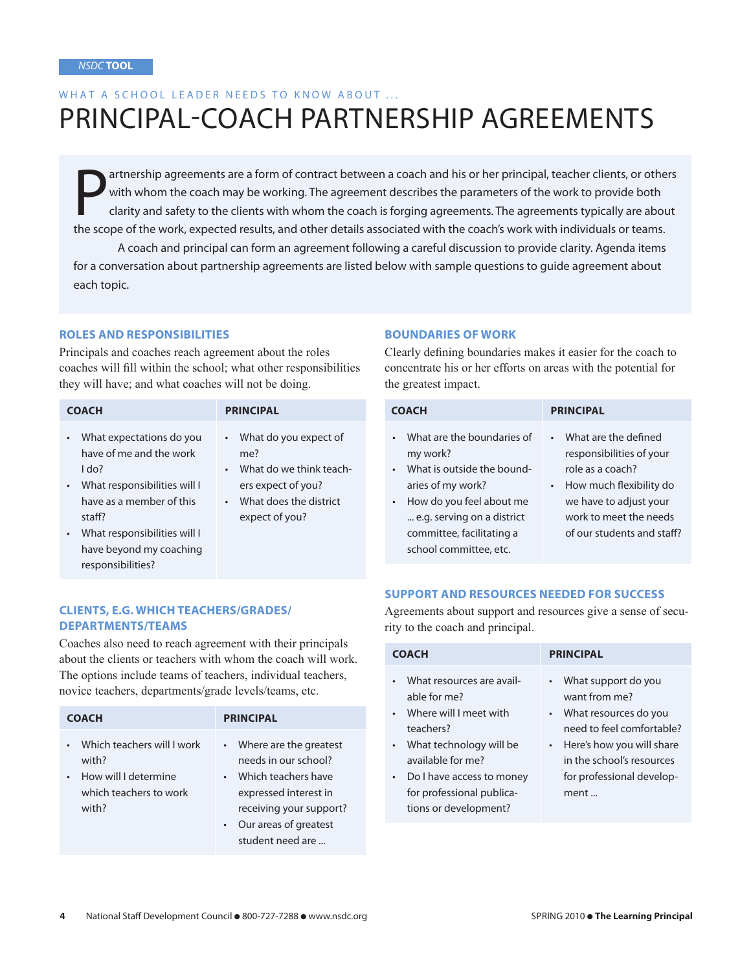each topic.

## WHAT A SCHOOL LEADER NEEDS TO KNOW ABOUT ... PRINCIPAL-COACH PARTNERSHIP AGREEMENTS

The scope of the work, expected results, and other details associated with the coach's work to provide both clarity and safety to the clients with whom the coach is forging agreements. The agreements typically are about th artnership agreements are a form of contract between a coach and his or her principal, teacher clients, or others with whom the coach may be working. The agreement describes the parameters of the work to provide both clarity and safety to the clients with whom the coach is forging agreements. The agreements typically are about A coach and principal can form an agreement following a careful discussion to provide clarity. Agenda items for a conversation about partnership agreements are listed below with sample questions to guide agreement about

#### **ROLES AND RESPONSIBILITIES**

Principals and coaches reach agreement about the roles coaches will fill within the school; what other responsibilities they will have; and what coaches will not be doing.

| <b>COACH</b>                                                                                                                                                                                                                           | <b>PRINCIPAL</b>                                                                                                            |
|----------------------------------------------------------------------------------------------------------------------------------------------------------------------------------------------------------------------------------------|-----------------------------------------------------------------------------------------------------------------------------|
| What expectations do you<br>$\bullet$<br>have of me and the work<br>$1$ do?<br>What responsibilities will I<br>$\bullet$<br>have as a member of this<br>staff?<br>What responsibilities will I<br>$\bullet$<br>have beyond my coaching | • What do you expect of<br>me?<br>What do we think teach-<br>ers expect of you?<br>What does the district<br>expect of you? |

#### **BOUNDARIES OF WORK**

Clearly defining boundaries makes it easier for the coach to concentrate his or her efforts on areas with the potential for the greatest impact.

| <b>COACH</b>                                                                                                                                                                                               | <b>PRINCIPAL</b>                                                                                                                                                                                            |
|------------------------------------------------------------------------------------------------------------------------------------------------------------------------------------------------------------|-------------------------------------------------------------------------------------------------------------------------------------------------------------------------------------------------------------|
| What are the boundaries of<br>my work?<br>What is outside the bound-<br>aries of my work?<br>How do you feel about me<br>e.g. serving on a district<br>committee, facilitating a<br>school committee, etc. | What are the defined<br>$\bullet$<br>responsibilities of your<br>role as a coach?<br>How much flexibility do<br>$\bullet$<br>we have to adjust your<br>work to meet the needs<br>of our students and staff? |

#### **SUPPORT AND RESOURCES NEEDED FOR SUCCESS**

Agreements about support and resources give a sense of security to the coach and principal.

| <b>COACH</b>                                                                                                                                                                                                                                       | <b>PRINCIPAL</b>                                                                                                                                                                                |
|----------------------------------------------------------------------------------------------------------------------------------------------------------------------------------------------------------------------------------------------------|-------------------------------------------------------------------------------------------------------------------------------------------------------------------------------------------------|
| What resources are avail-<br>able for me?<br>Where will I meet with<br>$\bullet$<br>teachers?<br>What technology will be<br>$\bullet$<br>available for me?<br>Do I have access to money<br>٠<br>for professional publica-<br>tions or development? | • What support do you<br>want from me?<br>• What resources do you<br>need to feel comfortable?<br>• Here's how you will share<br>in the school's resources<br>for professional develop-<br>ment |

#### **CLIENTS, E.G. WHICH TEACHERS/GRADES/ DEPARTMENTS/TEAMS**

responsibilities?

Coaches also need to reach agreement with their principals about the clients or teachers with whom the coach will work. The options include teams of teachers, individual teachers, novice teachers, departments/grade levels/teams, etc.

| <b>COACH</b>                                                                                   | <b>PRINCIPAL</b>                                                                                                                                                                                   |
|------------------------------------------------------------------------------------------------|----------------------------------------------------------------------------------------------------------------------------------------------------------------------------------------------------|
| Which teachers will I work<br>with?<br>How will I determine<br>which teachers to work<br>with? | • Where are the greatest<br>needs in our school?<br>Which teachers have<br>$\bullet$<br>expressed interest in<br>receiving your support?<br>Our areas of greatest<br>$\bullet$<br>student need are |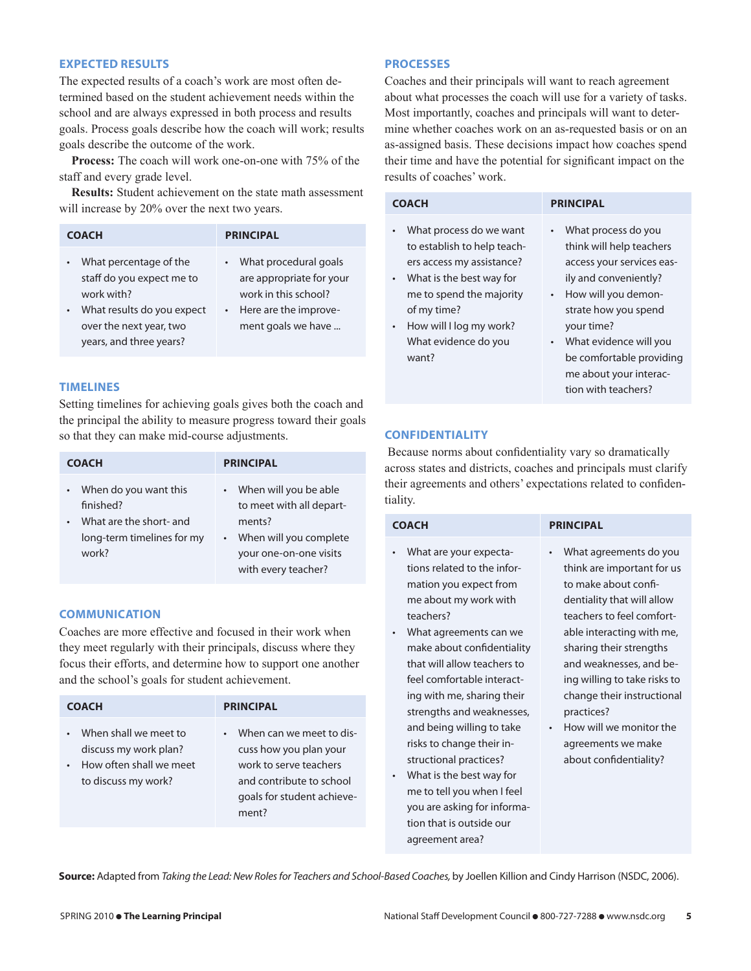#### **EXPECTED RESULTS**

The expected results of a coach's work are most often determined based on the student achievement needs within the school and are always expressed in both process and results goals. Process goals describe how the coach will work; results goals describe the outcome of the work.

 **Process:** The coach will work one-on-one with 75% of the staff and every grade level.

 **Results:** Student achievement on the state math assessment will increase by 20% over the next two years.

| <b>COACH</b>                                                                                                                                                                    | <b>PRINCIPAL</b>                                                                                                           |
|---------------------------------------------------------------------------------------------------------------------------------------------------------------------------------|----------------------------------------------------------------------------------------------------------------------------|
| What percentage of the<br>$\bullet$<br>staff do you expect me to<br>work with?<br>What results do you expect<br>$\bullet$<br>over the next year, two<br>years, and three years? | What procedural goals<br>are appropriate for your<br>work in this school?<br>• Here are the improve-<br>ment goals we have |

#### **TIMELINES**

Setting timelines for achieving goals gives both the coach and the principal the ability to measure progress toward their goals so that they can make mid-course adjustments.

| <b>COACH</b>               | <b>PRINCIPAL</b>         |
|----------------------------|--------------------------|
| • When do you want this    | • When will you be able  |
| finished?                  | to meet with all depart- |
| What are the short- and    | ments?                   |
| $\bullet$                  | • When will you complete |
| long-term timelines for my | your one-on-one visits   |
| work?                      | with every teacher?      |

#### **COMMUNICATION**

Coaches are more effective and focused in their work when they meet regularly with their principals, discuss where they focus their efforts, and determine how to support one another and the school's goals for student achievement.

| <b>COACH</b>                                                                                     | <b>PRINCIPAL</b>                                                                                                                                             |
|--------------------------------------------------------------------------------------------------|--------------------------------------------------------------------------------------------------------------------------------------------------------------|
| When shall we meet to<br>discuss my work plan?<br>How often shall we meet<br>to discuss my work? | When can we meet to dis-<br>$\bullet$<br>cuss how you plan your<br>work to serve teachers<br>and contribute to school<br>goals for student achieve-<br>ment? |

#### **PROCESSES**

Coaches and their principals will want to reach agreement about what processes the coach will use for a variety of tasks. Most importantly, coaches and principals will want to determine whether coaches work on an as-requested basis or on an as-assigned basis. These decisions impact how coaches spend their time and have the potential for significant impact on the results of coaches' work.

| <b>COACH</b>                                                                                                                                                                                                                                       | <b>PRINCIPAL</b>                                                                                                                                                                                                                                                                                                 |
|----------------------------------------------------------------------------------------------------------------------------------------------------------------------------------------------------------------------------------------------------|------------------------------------------------------------------------------------------------------------------------------------------------------------------------------------------------------------------------------------------------------------------------------------------------------------------|
| What process do we want<br>$\bullet$<br>to establish to help teach-<br>ers access my assistance?<br>• What is the best way for<br>me to spend the majority<br>of my time?<br>How will I log my work?<br>$\bullet$<br>What evidence do you<br>want? | What process do you<br>$\bullet$<br>think will help teachers<br>access your services eas-<br>ily and conveniently?<br>How will you demon-<br>$\bullet$<br>strate how you spend<br>your time?<br>What evidence will you<br>$\bullet$<br>be comfortable providing<br>me about your interac-<br>tion with teachers? |

#### **CONFIDENTIALITY**

tion that is outside our agreement area?

Because norms about confidentiality vary so dramatically across states and districts, coaches and principals must clarify their agreements and others' expectations related to confidentiality.

| <b>COACH</b>                                                                                                                                                                                                                                                                                                                                                                              | <b>PRINCIPAL</b>                                                                                                                                                                                                                                                                                                                                                                                    |
|-------------------------------------------------------------------------------------------------------------------------------------------------------------------------------------------------------------------------------------------------------------------------------------------------------------------------------------------------------------------------------------------|-----------------------------------------------------------------------------------------------------------------------------------------------------------------------------------------------------------------------------------------------------------------------------------------------------------------------------------------------------------------------------------------------------|
| What are your expecta-<br>tions related to the infor-<br>mation you expect from<br>me about my work with<br>teachers?<br>What agreements can we<br>make about confidentiality<br>that will allow teachers to<br>feel comfortable interact-<br>ing with me, sharing their<br>strengths and weaknesses,<br>and being willing to take<br>risks to change their in-<br>structional practices? | What agreements do you<br>٠<br>think are important for us<br>to make about confi-<br>dentiality that will allow<br>teachers to feel comfort-<br>able interacting with me,<br>sharing their strengths<br>and weaknesses, and be-<br>ing willing to take risks to<br>change their instructional<br>practices?<br>How will we monitor the<br>$\bullet$<br>agreements we make<br>about confidentiality? |
| What is the best way for<br>٠<br>me to tell you when I feel                                                                                                                                                                                                                                                                                                                               |                                                                                                                                                                                                                                                                                                                                                                                                     |
| you are asking for informa-                                                                                                                                                                                                                                                                                                                                                               |                                                                                                                                                                                                                                                                                                                                                                                                     |

**Source:** Adapted from Taking the Lead: New Roles for Teachers and School-Based Coaches, by Joellen Killion and Cindy Harrison (NSDC, 2006).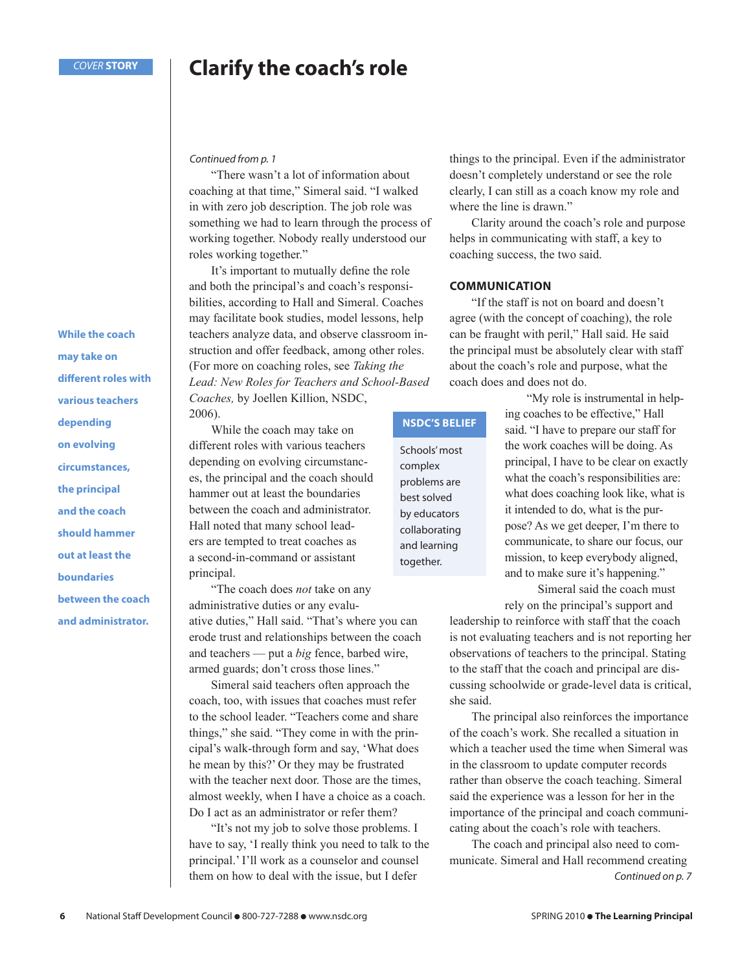### **Clarify the coach's role**

Continued from p. 1

"There wasn't a lot of information about coaching at that time," Simeral said. "I walked in with zero job description. The job role was something we had to learn through the process of working together. Nobody really understood our roles working together."

It's important to mutually define the role and both the principal's and coach's responsibilities, according to Hall and Simeral. Coaches may facilitate book studies, model lessons, help teachers analyze data, and observe classroom instruction and offer feedback, among other roles. (For more on coaching roles, see *Taking the Lead: New Roles for Teachers and School-Based Coaches,* by Joellen Killion, NSDC,

2006).

While the coach may take on different roles with various teachers depending on evolving circumstances, the principal and the coach should hammer out at least the boundaries between the coach and administrator. Hall noted that many school leaders are tempted to treat coaches as a second-in-command or assistant principal.

"The coach does *not* take on any administrative duties or any evaluative duties," Hall said. "That's where you can erode trust and relationships between the coach and teachers — put a *big* fence, barbed wire, armed guards; don't cross those lines."

Simeral said teachers often approach the coach, too, with issues that coaches must refer to the school leader. "Teachers come and share things," she said. "They come in with the principal's walk-through form and say, 'What does he mean by this?' Or they may be frustrated with the teacher next door. Those are the times, almost weekly, when I have a choice as a coach. Do I act as an administrator or refer them?

"It's not my job to solve those problems. I have to say, 'I really think you need to talk to the principal.' I'll work as a counselor and counsel them on how to deal with the issue, but I defer

things to the principal. Even if the administrator doesn't completely understand or see the role clearly, I can still as a coach know my role and where the line is drawn."

Clarity around the coach's role and purpose helps in communicating with staff, a key to coaching success, the two said.

#### **COMMUNICATION**

**NSDC'S BELIEF**

Schools' most complex problems are best solved by educators collaborating and learning together.

"If the staff is not on board and doesn't agree (with the concept of coaching), the role can be fraught with peril," Hall said. He said the principal must be absolutely clear with staff about the coach's role and purpose, what the coach does and does not do.

> ing coaches to be effective," Hall said. "I have to prepare our staff for the work coaches will be doing. As principal, I have to be clear on exactly what the coach's responsibilities are: what does coaching look like, what is it intended to do, what is the purpose? As we get deeper, I'm there to communicate, to share our focus, our mission, to keep everybody aligned, and to make sure it's happening."

> > Simeral said the coach must rely on the principal's support and

"My role is instrumental in help-

leadership to reinforce with staff that the coach is not evaluating teachers and is not reporting her observations of teachers to the principal. Stating to the staff that the coach and principal are discussing schoolwide or grade-level data is critical, she said.

The principal also reinforces the importance of the coach's work. She recalled a situation in which a teacher used the time when Simeral was in the classroom to update computer records rather than observe the coach teaching. Simeral said the experience was a lesson for her in the importance of the principal and coach communicating about the coach's role with teachers.

Continued on p. 7 The coach and principal also need to communicate. Simeral and Hall recommend creating

**may take on different roles with various teachers depending on evolving circumstances, the principal and the coach should hammer out at least the boundaries between the coach and administrator.** 

**While the coach**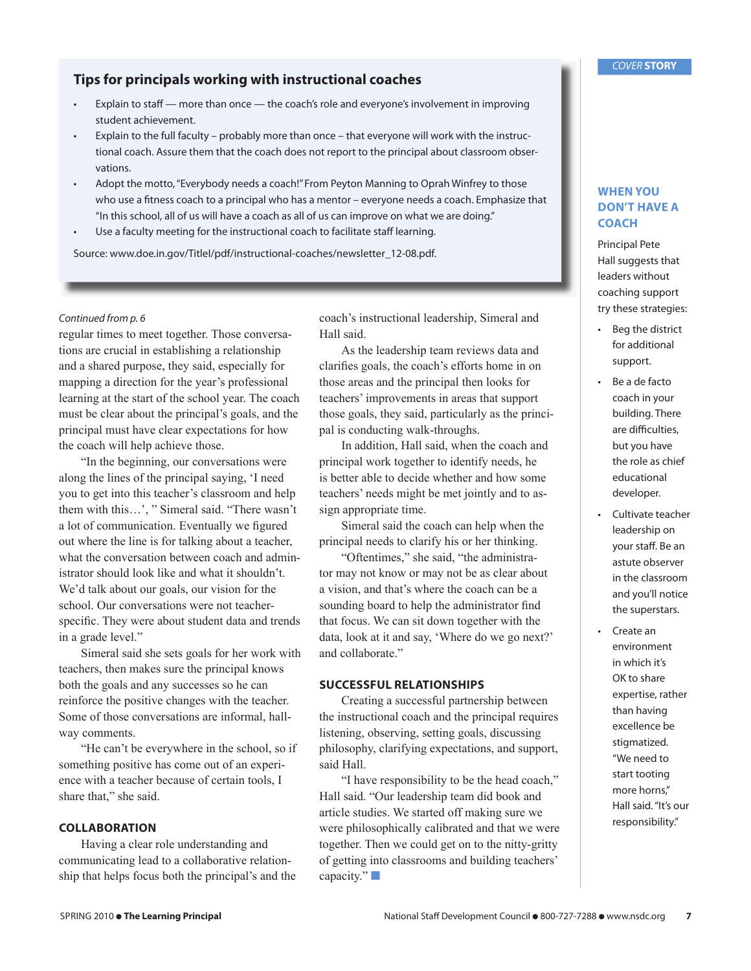#### **Tips for principals working with instructional coaches**

- Explain to staff more than once the coach's role and everyone's involvement in improving student achievement.
- Explain to the full faculty probably more than once that everyone will work with the instructional coach. Assure them that the coach does not report to the principal about classroom observations.
- Adopt the motto, "Everybody needs a coach!" From Peyton Manning to Oprah Winfrey to those who use a fitness coach to a principal who has a mentor – everyone needs a coach. Emphasize that "In this school, all of us will have a coach as all of us can improve on what we are doing."
- Use a faculty meeting for the instructional coach to facilitate staff learning.

Source: www.doe.in.gov/TitleI/pdf/instructional-coaches/newsletter\_12-08.pdf.

#### Continued from p. 6

regular times to meet together. Those conversations are crucial in establishing a relationship and a shared purpose, they said, especially for mapping a direction for the year's professional learning at the start of the school year. The coach must be clear about the principal's goals, and the principal must have clear expectations for how the coach will help achieve those.

"In the beginning, our conversations were along the lines of the principal saying, 'I need you to get into this teacher's classroom and help them with this…', " Simeral said. "There wasn't a lot of communication. Eventually we figured out where the line is for talking about a teacher, what the conversation between coach and administrator should look like and what it shouldn't. We'd talk about our goals, our vision for the school. Our conversations were not teacherspecific. They were about student data and trends in a grade level."

Simeral said she sets goals for her work with teachers, then makes sure the principal knows both the goals and any successes so he can reinforce the positive changes with the teacher. Some of those conversations are informal, hallway comments.

"He can't be everywhere in the school, so if something positive has come out of an experience with a teacher because of certain tools, I share that," she said.

#### **COLLABORATION**

Having a clear role understanding and communicating lead to a collaborative relationship that helps focus both the principal's and the coach's instructional leadership, Simeral and Hall said.

As the leadership team reviews data and clarifies goals, the coach's efforts home in on those areas and the principal then looks for teachers' improvements in areas that support those goals, they said, particularly as the principal is conducting walk-throughs.

In addition, Hall said, when the coach and principal work together to identify needs, he is better able to decide whether and how some teachers' needs might be met jointly and to assign appropriate time.

Simeral said the coach can help when the principal needs to clarify his or her thinking.

"Oftentimes," she said, "the administrator may not know or may not be as clear about a vision, and that's where the coach can be a sounding board to help the administrator find that focus. We can sit down together with the data, look at it and say, 'Where do we go next?' and collaborate."

#### **SUCCESSFUL RELATIONSHIPS**

Creating a successful partnership between the instructional coach and the principal requires listening, observing, setting goals, discussing philosophy, clarifying expectations, and support, said Hall.

"I have responsibility to be the head coach," Hall said. "Our leadership team did book and article studies. We started off making sure we were philosophically calibrated and that we were together. Then we could get on to the nitty-gritty of getting into classrooms and building teachers' capacity." $\Box$ 

#### **WHEN YOU DON'T HAVE A COACH**

Principal Pete Hall suggests that leaders without coaching support try these strategies:

- Beg the district for additional support.
- $\cdot$  Be a de facto coach in your building. There are difficulties, but you have the role as chief educational developer.
- Cultivate teacher leadership on your staff. Be an astute observer in the classroom and you'll notice the superstars.
- Create an environment in which it's OK to share expertise, rather than having excellence be stigmatized. "We need to start tooting more horns," Hall said. "It's our responsibility."